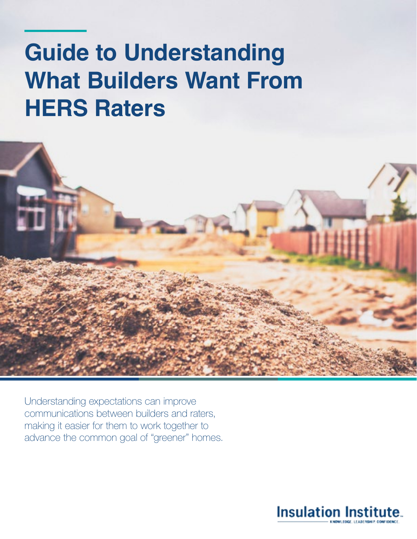# **Guide to Understanding What Builders Want From HERS Raters**



Understanding expectations can improve communications between builders and raters, making it easier for them to work together to advance the common goal of "greener" homes.

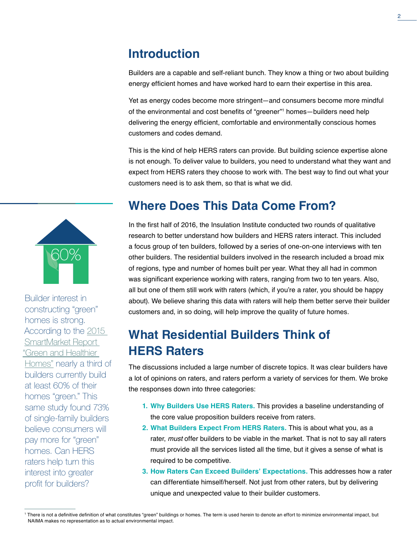## **Introduction**

Builders are a capable and self-reliant bunch. They know a thing or two about building energy efficient homes and have worked hard to earn their expertise in this area.

Yet as energy codes become more stringent—and consumers become more mindful of the environmental and cost benefits of "greener"<sup>1</sup> homes—builders need help delivering the energy efficient, comfortable and environmentally conscious homes customers and codes demand.

This is the kind of help HERS raters can provide. But building science expertise alone is not enough. To deliver value to builders, you need to understand what they want and expect from HERS raters they choose to work with. The best way to find out what your customers need is to ask them, so that is what we did.

## **Where Does This Data Come From?**

In the first half of 2016, the Insulation Institute conducted two rounds of qualitative research to better understand how builders and HERS raters interact. This included a focus group of ten builders, followed by a series of one-on-one interviews with ten other builders. The residential builders involved in the research included a broad mix of regions, type and number of homes built per year. What they all had in common was significant experience working with raters, ranging from two to ten years. Also, all but one of them still work with raters (which, if you're a rater, you should be happy about). We believe sharing this data with raters will help them better serve their builder customers and, in so doing, will help improve the quality of future homes.

## **What Residential Builders Think of HERS Raters**

The discussions included a large number of discrete topics. It was clear builders have a lot of opinions on raters, and raters perform a variety of services for them. We broke the responses down into three categories:

- **1. Why Builders Use HERS Raters.** This provides a baseline understanding of the core value proposition builders receive from raters.
- **2. What Builders Expect From HERS Raters.** This is about what you, as a rater, *must* offer builders to be viable in the market. That is not to say all raters must provide all the services listed all the time, but it gives a sense of what is required to be competitive.
- **3. How Raters Can Exceed Builders' Expectations.** This addresses how a rater can differentiate himself/herself. Not just from other raters, but by delivering unique and unexpected value to their builder customers.



constructing "green" homes is strong. According to the [2015](https://www.nahb.org/~/media/Sites/NAHB/Research/Priorities/green-building-remodeling-development/Green-and-Healthier-Homes%202015.ashx)  [SmartMarket Report](https://www.nahb.org/~/media/Sites/NAHB/Research/Priorities/green-building-remodeling-development/Green-and-Healthier-Homes%202015.ashx)  ["Green and Healthier](https://www.nahb.org/~/media/Sites/NAHB/Research/Priorities/green-building-remodeling-development/Green-and-Healthier-Homes%202015.ashx)  [Homes"](https://www.nahb.org/~/media/Sites/NAHB/Research/Priorities/green-building-remodeling-development/Green-and-Healthier-Homes%202015.ashx) nearly a third of builders currently build at least 60% of their homes "green." This same study found 73% of single-family builders believe consumers will pay more for "green" homes. Can HERS raters help turn this interest into greater profit for builders?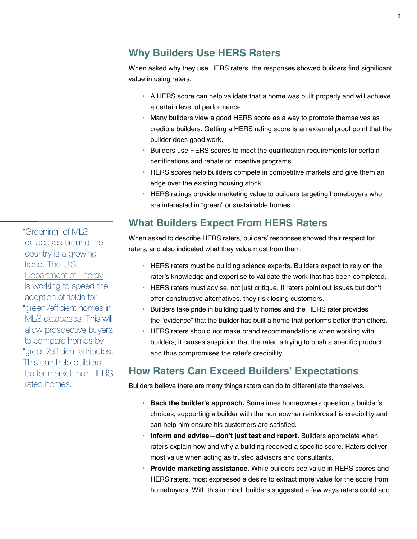#### **Why Builders Use HERS Raters**

When asked why they use HERS raters, the responses showed builders find significant value in using raters.

- **•** A HERS score can help validate that a home was built properly and will achieve a certain level of performance.
- **•** Many builders view a good HERS score as a way to promote themselves as credible builders. Getting a HERS rating score is an external proof point that the builder does good work.
- **•** Builders use HERS scores to meet the qualification requirements for certain certifications and rebate or incentive programs.
- **•** HERS scores help builders compete in competitive markets and give them an edge over the existing housing stock.
- **•** HERS ratings provide marketing value to builders targeting homebuyers who are interested in "green" or sustainable homes.

### **What Builders Expect From HERS Raters**

When asked to describe HERS raters, builders' responses showed their respect for raters, and also indicated what they value most from them.

- **•** HERS raters must be building science experts. Builders expect to rely on the rater's knowledge and expertise to validate the work that has been completed.
- **•** HERS raters must advise, not just critique. If raters point out issues but don't offer constructive alternatives, they risk losing customers.
- **•** Builders take pride in building quality homes and the HERS rater provides the "evidence" that the builder has built a home that performs better than others.
- **•** HERS raters should not make brand recommendations when working with builders; it causes suspicion that the rater is trying to push a specific product and thus compromises the rater's credibility.

### **How Raters Can Exceed Builders' Expectations**

Builders believe there are many things raters can do to differentiate themselves.

- **• Back the builder's approach.** Sometimes homeowners question a builder's choices; supporting a builder with the homeowner reinforces his credibility and can help him ensure his customers are satisfied.
- **• Inform and advise—don't just test and report.** Builders appreciate when raters explain how and why a building received a specific score. Raters deliver most value when acting as trusted advisors and consultants.
- **• Provide marketing assistance.** While builders see value in HERS scores and HERS raters, most expressed a desire to extract more value for the score from homebuyers. With this in mind, builders suggested a few ways raters could add

"Greening" of MLS databases around the country is a growing trend. [The U.S.](http://betterbuildingssolutioncenter.energy.gov/accelerators/home-energy-information)  [Department of Energy](http://betterbuildingssolutioncenter.energy.gov/accelerators/home-energy-information) is working to speed the adoption of fields for "green"/efficient homes in MLS databases. This will allow prospective buyers to compare homes by "green"/efficient attributes. This can help builders better market their HERS rated homes.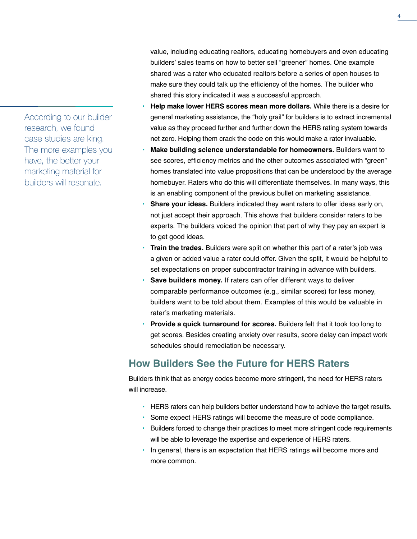According to our builder research, we found case studies are king. The more examples you have, the better your marketing material for builders will resonate.

value, including educating realtors, educating homebuyers and even educating builders' sales teams on how to better sell "greener" homes. One example shared was a rater who educated realtors before a series of open houses to make sure they could talk up the efficiency of the homes. The builder who shared this story indicated it was a successful approach.

- **• Help make lower HERS scores mean more dollars.** While there is a desire for general marketing assistance, the "holy grail" for builders is to extract incremental value as they proceed further and further down the HERS rating system towards net zero. Helping them crack the code on this would make a rater invaluable.
- **• Make building science understandable for homeowners.** Builders want to see scores, efficiency metrics and the other outcomes associated with "green" homes translated into value propositions that can be understood by the average homebuyer. Raters who do this will differentiate themselves. In many ways, this is an enabling component of the previous bullet on marketing assistance.
- **• Share your ideas.** Builders indicated they want raters to offer ideas early on, not just accept their approach. This shows that builders consider raters to be experts. The builders voiced the opinion that part of why they pay an expert is to get good ideas.
- **• Train the trades.** Builders were split on whether this part of a rater's job was a given or added value a rater could offer. Given the split, it would be helpful to set expectations on proper subcontractor training in advance with builders.
- **• Save builders money.** If raters can offer different ways to deliver comparable performance outcomes (e.g., similar scores) for less money, builders want to be told about them. Examples of this would be valuable in rater's marketing materials.
- **• Provide a quick turnaround for scores.** Builders felt that it took too long to get scores. Besides creating anxiety over results, score delay can impact work schedules should remediation be necessary.

### **How Builders See the Future for HERS Raters**

Builders think that as energy codes become more stringent, the need for HERS raters will increase.

- **•** HERS raters can help builders better understand how to achieve the target results.
- **•** Some expect HERS ratings will become the measure of code compliance.
- **•** Builders forced to change their practices to meet more stringent code requirements will be able to leverage the expertise and experience of HERS raters.
- **•** In general, there is an expectation that HERS ratings will become more and more common.